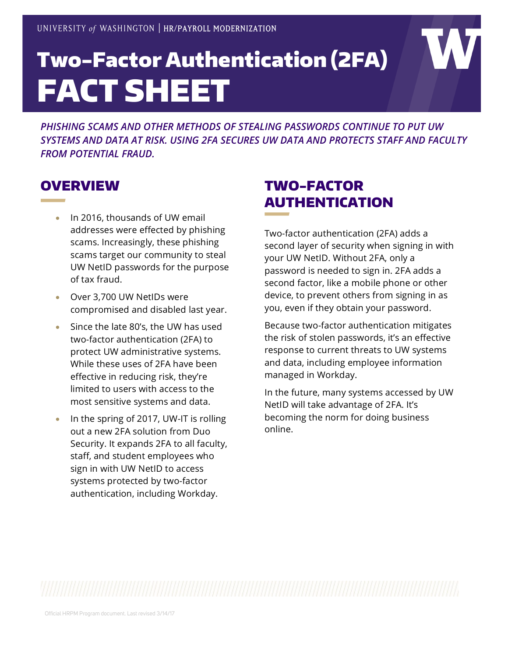# Two-Factor Authentication (2FA) FACT SHEET

*PHISHING SCAMS AND OTHER METHODS OF STEALING PASSWORDS CONTINUE TO PUT UW SYSTEMS AND DATA AT RISK. USING 2FA SECURES UW DATA AND PROTECTS STAFF AND FACULTY FROM POTENTIAL FRAUD.*

#### **OVERVIEW**

- In 2016, thousands of UW email addresses were effected by phishing scams. Increasingly, these phishing scams target our community to steal UW NetID passwords for the purpose of tax fraud.
- Over 3,700 UW NetIDs were compromised and disabled last year.
- Since the late 80's, the UW has used two-factor authentication (2FA) to protect UW administrative systems. While these uses of 2FA have been effective in reducing risk, they're limited to users with access to the most sensitive systems and data.
- In the spring of 2017, UW-IT is rolling out a new 2FA solution from Duo Security. It expands 2FA to all faculty, staff, and student employees who sign in with UW NetID to access systems protected by two-factor authentication, including Workday.

## TWO-FACTOR AUTHENTICATION

Two-factor authentication (2FA) adds a second layer of security when signing in with your UW NetID. Without 2FA, only a password is needed to sign in. 2FA adds a second factor, like a mobile phone or other device, to prevent others from signing in as you, even if they obtain your password.

Because two-factor authentication mitigates the risk of stolen passwords, it's an effective response to current threats to UW systems and data, including employee information managed in Workday.

In the future, many systems accessed by UW NetID will take advantage of 2FA. It's becoming the norm for doing business online.